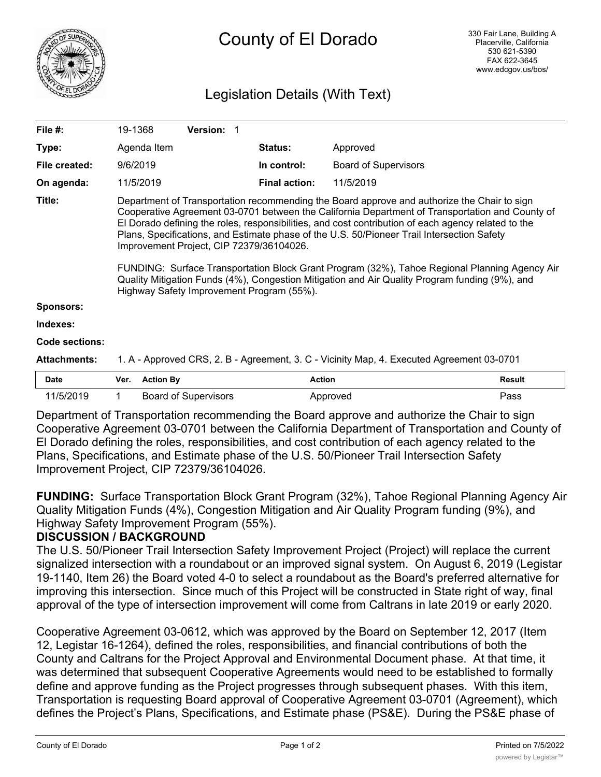

# County of El Dorado

## Legislation Details (With Text)

| File $#$ :            | 19-1368                                                                                                                                                                                                                                                                                                                                                                                                                                                                                                                                                                                                                                                                                         |                  | <b>Version: 1</b>           |  |                      |                             |               |
|-----------------------|-------------------------------------------------------------------------------------------------------------------------------------------------------------------------------------------------------------------------------------------------------------------------------------------------------------------------------------------------------------------------------------------------------------------------------------------------------------------------------------------------------------------------------------------------------------------------------------------------------------------------------------------------------------------------------------------------|------------------|-----------------------------|--|----------------------|-----------------------------|---------------|
| Type:                 |                                                                                                                                                                                                                                                                                                                                                                                                                                                                                                                                                                                                                                                                                                 | Agenda Item      |                             |  | <b>Status:</b>       | Approved                    |               |
| File created:         | 9/6/2019                                                                                                                                                                                                                                                                                                                                                                                                                                                                                                                                                                                                                                                                                        |                  |                             |  | In control:          | <b>Board of Supervisors</b> |               |
| On agenda:            |                                                                                                                                                                                                                                                                                                                                                                                                                                                                                                                                                                                                                                                                                                 | 11/5/2019        |                             |  | <b>Final action:</b> | 11/5/2019                   |               |
| Title:                | Department of Transportation recommending the Board approve and authorize the Chair to sign<br>Cooperative Agreement 03-0701 between the California Department of Transportation and County of<br>El Dorado defining the roles, responsibilities, and cost contribution of each agency related to the<br>Plans, Specifications, and Estimate phase of the U.S. 50/Pioneer Trail Intersection Safety<br>Improvement Project, CIP 72379/36104026.<br>FUNDING: Surface Transportation Block Grant Program (32%), Tahoe Regional Planning Agency Air<br>Quality Mitigation Funds (4%), Congestion Mitigation and Air Quality Program funding (9%), and<br>Highway Safety Improvement Program (55%). |                  |                             |  |                      |                             |               |
| <b>Sponsors:</b>      |                                                                                                                                                                                                                                                                                                                                                                                                                                                                                                                                                                                                                                                                                                 |                  |                             |  |                      |                             |               |
| Indexes:              |                                                                                                                                                                                                                                                                                                                                                                                                                                                                                                                                                                                                                                                                                                 |                  |                             |  |                      |                             |               |
| <b>Code sections:</b> |                                                                                                                                                                                                                                                                                                                                                                                                                                                                                                                                                                                                                                                                                                 |                  |                             |  |                      |                             |               |
| <b>Attachments:</b>   | 1. A - Approved CRS, 2. B - Agreement, 3. C - Vicinity Map, 4. Executed Agreement 03-0701                                                                                                                                                                                                                                                                                                                                                                                                                                                                                                                                                                                                       |                  |                             |  |                      |                             |               |
| <b>Date</b>           | Ver.                                                                                                                                                                                                                                                                                                                                                                                                                                                                                                                                                                                                                                                                                            | <b>Action By</b> |                             |  | <b>Action</b>        |                             | <b>Result</b> |
| 11/5/2019             | 1                                                                                                                                                                                                                                                                                                                                                                                                                                                                                                                                                                                                                                                                                               |                  | <b>Board of Supervisors</b> |  |                      | Approved                    | Pass          |

Department of Transportation recommending the Board approve and authorize the Chair to sign Cooperative Agreement 03-0701 between the California Department of Transportation and County of El Dorado defining the roles, responsibilities, and cost contribution of each agency related to the Plans, Specifications, and Estimate phase of the U.S. 50/Pioneer Trail Intersection Safety Improvement Project, CIP 72379/36104026.

**FUNDING:** Surface Transportation Block Grant Program (32%), Tahoe Regional Planning Agency Air Quality Mitigation Funds (4%), Congestion Mitigation and Air Quality Program funding (9%), and Highway Safety Improvement Program (55%).

#### **DISCUSSION / BACKGROUND**

The U.S. 50/Pioneer Trail Intersection Safety Improvement Project (Project) will replace the current signalized intersection with a roundabout or an improved signal system. On August 6, 2019 (Legistar 19-1140, Item 26) the Board voted 4-0 to select a roundabout as the Board's preferred alternative for improving this intersection. Since much of this Project will be constructed in State right of way, final approval of the type of intersection improvement will come from Caltrans in late 2019 or early 2020.

Cooperative Agreement 03-0612, which was approved by the Board on September 12, 2017 (Item 12, Legistar 16-1264), defined the roles, responsibilities, and financial contributions of both the County and Caltrans for the Project Approval and Environmental Document phase. At that time, it was determined that subsequent Cooperative Agreements would need to be established to formally define and approve funding as the Project progresses through subsequent phases. With this item, Transportation is requesting Board approval of Cooperative Agreement 03-0701 (Agreement), which defines the Project's Plans, Specifications, and Estimate phase (PS&E). During the PS&E phase of